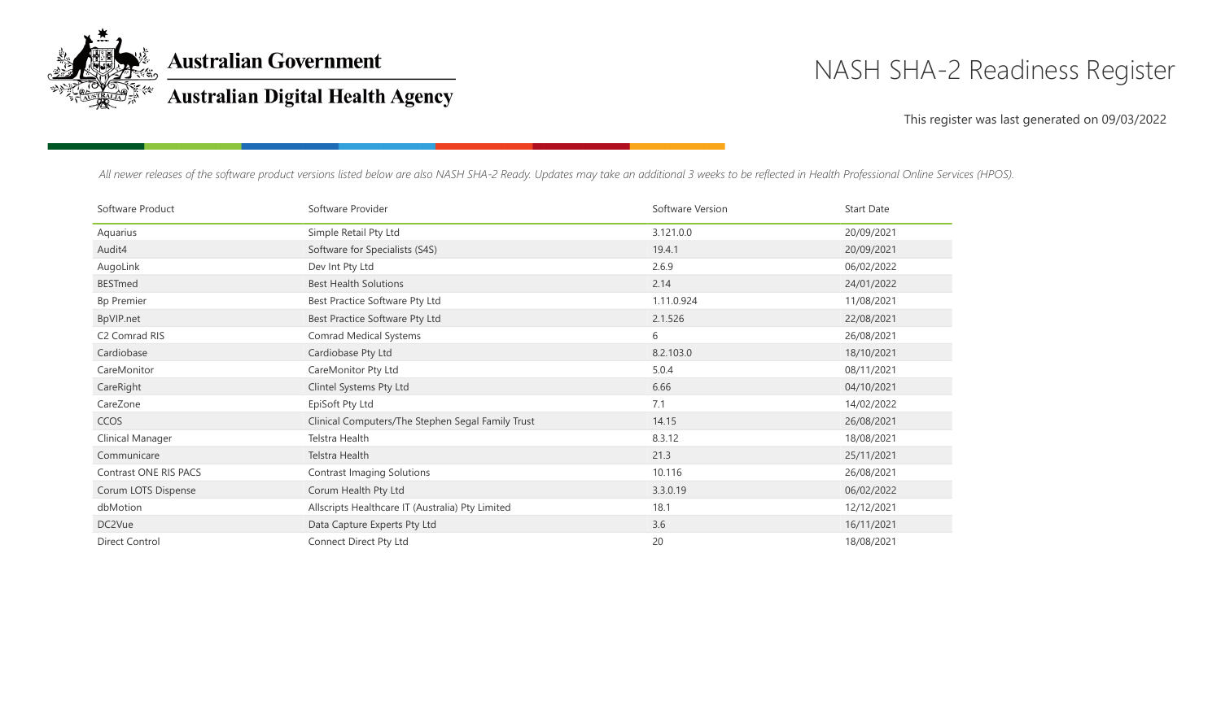

**Australian Government** 

## **Australian Digital Health Agency**

# NASH SHA-2 Readiness Register

### This register was last generated on 09/03/2022

*All newer releases of the software product versions listed below are also NASH SHA-2 Ready. Updates may take an additional 3 weeks to be reflected in Health Professional Online Services (HPOS).*

| Software Product          | Software Provider                                 | Software Version | <b>Start Date</b> |
|---------------------------|---------------------------------------------------|------------------|-------------------|
| Aquarius                  | Simple Retail Pty Ltd                             | 3.121.0.0        | 20/09/2021        |
| Audit4                    | Software for Specialists (S4S)                    | 19.4.1           | 20/09/2021        |
| AugoLink                  | Dev Int Pty Ltd                                   | 2.6.9            | 06/02/2022        |
| <b>BESTmed</b>            | <b>Best Health Solutions</b>                      | 2.14             | 24/01/2022        |
| <b>Bp Premier</b>         | Best Practice Software Pty Ltd                    | 1.11.0.924       | 11/08/2021        |
| BpVIP.net                 | Best Practice Software Pty Ltd                    | 2.1.526          | 22/08/2021        |
| C <sub>2</sub> Comrad RIS | Comrad Medical Systems                            | 6                | 26/08/2021        |
| Cardiobase                | Cardiobase Pty Ltd                                | 8.2.103.0        | 18/10/2021        |
| CareMonitor               | CareMonitor Pty Ltd                               | 5.0.4            | 08/11/2021        |
| CareRight                 | Clintel Systems Pty Ltd                           | 6.66             | 04/10/2021        |
| CareZone                  | EpiSoft Pty Ltd                                   | 7.1              | 14/02/2022        |
| <b>CCOS</b>               | Clinical Computers/The Stephen Segal Family Trust | 14.15            | 26/08/2021        |
| Clinical Manager          | Telstra Health                                    | 8.3.12           | 18/08/2021        |
| Communicare               | Telstra Health                                    | 21.3             | 25/11/2021        |
| Contrast ONE RIS PACS     | Contrast Imaging Solutions                        | 10.116           | 26/08/2021        |
| Corum LOTS Dispense       | Corum Health Pty Ltd                              | 3.3.0.19         | 06/02/2022        |
| dbMotion                  | Allscripts Healthcare IT (Australia) Pty Limited  | 18.1             | 12/12/2021        |
| DC2Vue                    | Data Capture Experts Pty Ltd                      | 3.6              | 16/11/2021        |
| Direct Control            | Connect Direct Pty Ltd                            | 20               | 18/08/2021        |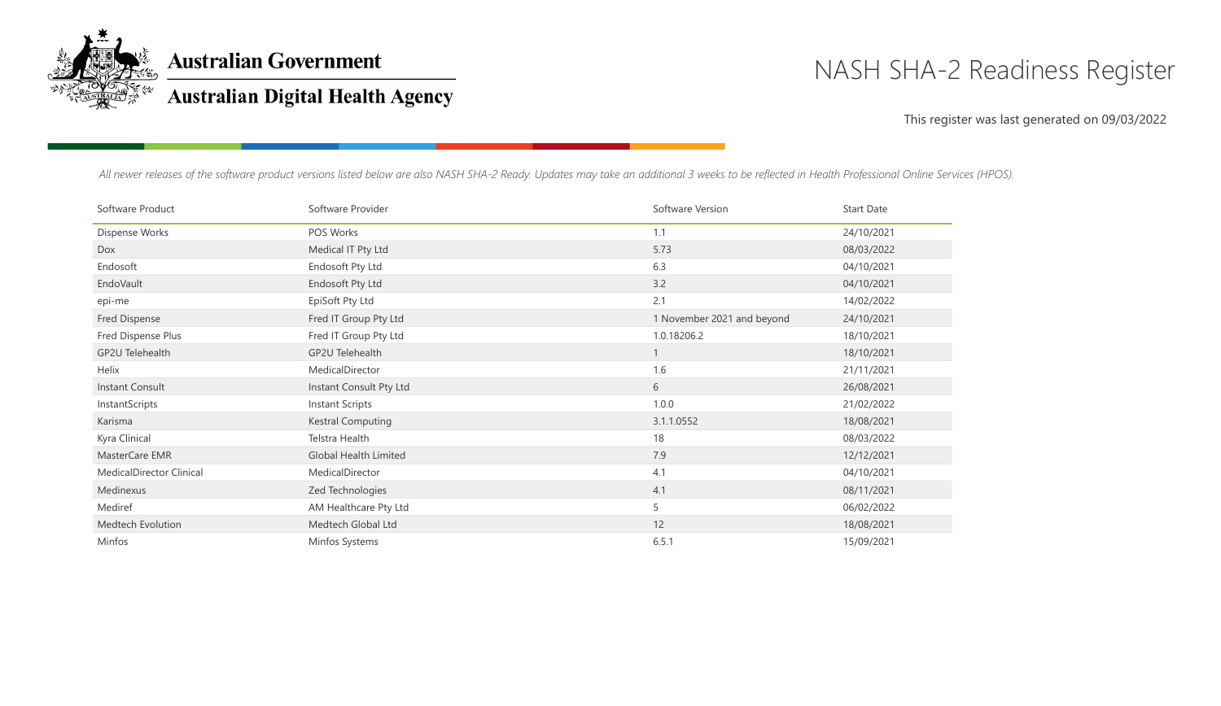

**Australian Government** 

## **Australian Digital Health Agency**

## NASH SHA-2 Readiness Register

### This register was last generated on 09/03/2022

*All newer releases of the software product versions listed below are also NASH SHA-2 Ready. Updates may take an additional 3 weeks to be reflected in Health Professional Online Services (HPOS).*

| Software Product         | Software Provider        | Software Version           | <b>Start Date</b> |
|--------------------------|--------------------------|----------------------------|-------------------|
| Dispense Works           | POS Works                | 1.1                        | 24/10/2021        |
| Dox                      | Medical IT Pty Ltd       | 5.73                       | 08/03/2022        |
| Endosoft                 | Endosoft Pty Ltd         | 6.3                        | 04/10/2021        |
| EndoVault                | Endosoft Pty Ltd         | 3.2                        | 04/10/2021        |
| epi-me                   | EpiSoft Pty Ltd          | 2.1                        | 14/02/2022        |
| Fred Dispense            | Fred IT Group Pty Ltd    | 1 November 2021 and beyond | 24/10/2021        |
| Fred Dispense Plus       | Fred IT Group Pty Ltd    | 1.0.18206.2                | 18/10/2021        |
| GP2U Telehealth          | GP2U Telehealth          |                            | 18/10/2021        |
| Helix                    | MedicalDirector          | 1.6                        | 21/11/2021        |
| Instant Consult          | Instant Consult Pty Ltd  | 6                          | 26/08/2021        |
| InstantScripts           | Instant Scripts          | 1.0.0                      | 21/02/2022        |
| Karisma                  | <b>Kestral Computing</b> | 3.1.1.0552                 | 18/08/2021        |
| Kyra Clinical            | Telstra Health           | 18                         | 08/03/2022        |
| MasterCare EMR           | Global Health Limited    | 7.9                        | 12/12/2021        |
| MedicalDirector Clinical | MedicalDirector          | 4.1                        | 04/10/2021        |
| Medinexus                | Zed Technologies         | 4.1                        | 08/11/2021        |
| Mediref                  | AM Healthcare Pty Ltd    | 5                          | 06/02/2022        |
| Medtech Evolution        | Medtech Global Ltd       | 12                         | 18/08/2021        |
| Minfos                   | Minfos Systems           | 6.5.1                      | 15/09/2021        |